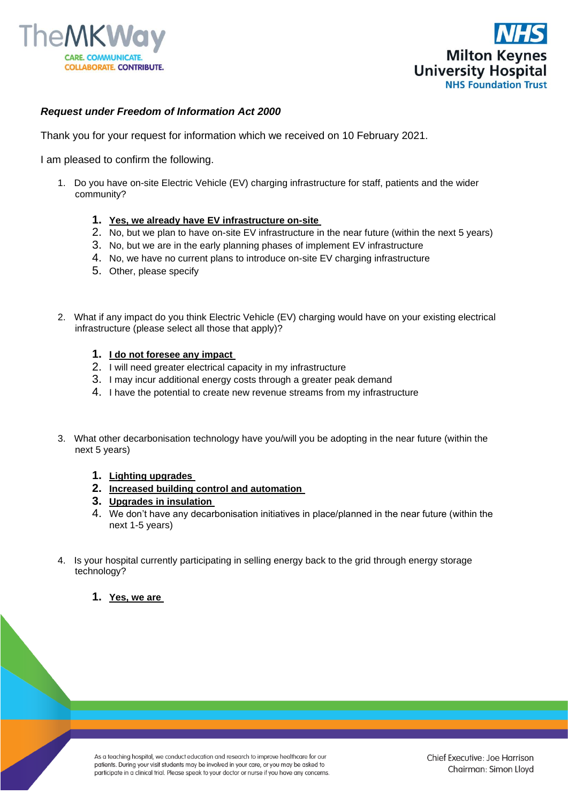



## *Request under Freedom of Information Act 2000*

Thank you for your request for information which we received on 10 February 2021.

I am pleased to confirm the following.

- 1. Do you have on-site Electric Vehicle (EV) charging infrastructure for staff, patients and the wider community?
	- **1. Yes, we already have EV infrastructure on-site**
	- 2. No, but we plan to have on-site EV infrastructure in the near future (within the next 5 years)
	- 3. No, but we are in the early planning phases of implement EV infrastructure
	- 4. No, we have no current plans to introduce on-site EV charging infrastructure
	- 5. Other, please specify
- 2. What if any impact do you think Electric Vehicle (EV) charging would have on your existing electrical infrastructure (please select all those that apply)?
	- **1. I do not foresee any impact**
	- 2. I will need greater electrical capacity in my infrastructure
	- 3. I may incur additional energy costs through a greater peak demand
	- 4. I have the potential to create new revenue streams from my infrastructure
- 3. What other decarbonisation technology have you/will you be adopting in the near future (within the next 5 years)
	- **1. Lighting upgrades**
	- **2. Increased building control and automation**
	- **3. Upgrades in insulation**
	- 4. We don't have any decarbonisation initiatives in place/planned in the near future (within the next 1-5 years)
- 4. Is your hospital currently participating in selling energy back to the grid through energy storage technology?
	- **1. Yes, we are**

As a teaching hospital, we conduct education and research to improve healthcare for our patients. During your visit students may be involved in your care, or you may be asked to participate in a clinical trial. Please speak to your doctor or nurse if you have any concerns.